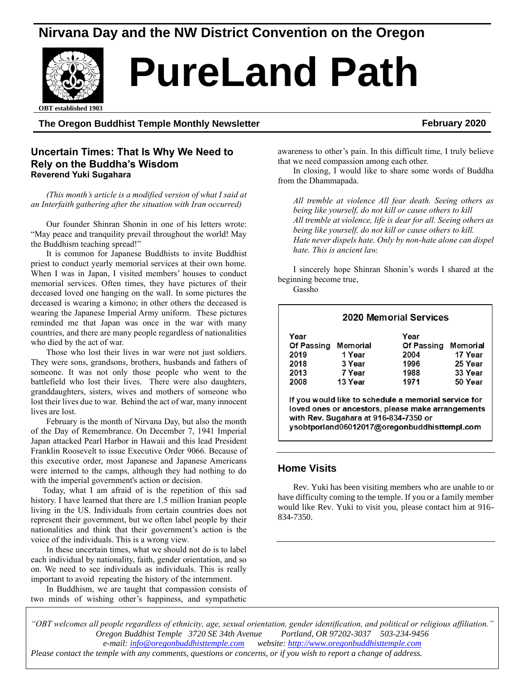## **Nirvana Day and the NW District Convention on the Oregon**



# **PureLand Path**

ed 1903 **OBT established 1903**

#### **The Oregon Buddhist Temple Monthly Newsletter February 2020**

#### **Uncertain Times: That Is Why We Need to Rely on the Buddha's Wisdom Reverend Yuki Sugahara**

*(This month's article is a modified version of what I said at an Interfaith gathering after the situation with Iran occurred)*

Our founder Shinran Shonin in one of his letters wrote: "May peace and tranquility prevail throughout the world! May the Buddhism teaching spread!"

It is common for Japanese Buddhists to invite Buddhist priest to conduct yearly memorial services at their own home. When I was in Japan, I visited members' houses to conduct memorial services. Often times, they have pictures of their deceased loved one hanging on the wall. In some pictures the deceased is wearing a kimono; in other others the deceased is wearing the Japanese Imperial Army uniform. These pictures reminded me that Japan was once in the war with many countries, and there are many people regardless of nationalities who died by the act of war.

Those who lost their lives in war were not just soldiers. They were sons, grandsons, brothers, husbands and fathers of someone. It was not only those people who went to the battlefield who lost their lives. There were also daughters, granddaughters, sisters, wives and mothers of someone who lost their lives due to war. Behind the act of war, many innocent lives are lost.

February is the month of Nirvana Day, but also the month of the Day of Remembrance. On December 7, 1941 Imperial Japan attacked Pearl Harbor in Hawaii and this lead President Franklin Roosevelt to issue Executive Order 9066. Because of this executive order, most Japanese and Japanese Americans were interned to the camps, although they had nothing to do with the imperial government's action or decision.

Today, what I am afraid of is the repetition of this sad history. I have learned that there are 1.5 million Iranian people living in the US. Individuals from certain countries does not represent their government, but we often label people by their nationalities and think that their government's action is the voice of the individuals. This is a wrong view.

In these uncertain times, what we should not do is to label each individual by nationality, faith, gender orientation, and so on. We need to see individuals as individuals. This is really important to avoid repeating the history of the internment.

In Buddhism, we are taught that compassion consists of two minds of wishing other's happiness, and sympathetic awareness to other's pain. In this difficult time, I truly believe that we need compassion among each other.

In closing, I would like to share some words of Buddha from the Dhammapada.

*All tremble at violence All fear death. Seeing others as being like yourself, do not kill or cause others to kill All tremble at violence, life is dear for all. Seeing others as being like yourself, do not kill or cause others to kill. Hate never dispels hate. Only by non-hate alone can dispel hate. This is ancient law.*

I sincerely hope Shinran Shonin's words I shared at the beginning become true,

Gassho

| <b>2020 Memorial Services</b> |                 |                   |          |  |
|-------------------------------|-----------------|-------------------|----------|--|
| Year                          |                 | Year              |          |  |
| <b>Of Passing</b>             | <b>Memorial</b> | <b>Of Passing</b> | Memorial |  |
| 2019                          | 1 Year          | 2004              | 17 Year  |  |
| 2018                          | 3 Year          | 1996              | 25 Year  |  |
| 2013                          | 7 Year          | 1988              | 33 Year  |  |
| 2008                          | 13 Year         | 1971              | 50 Year  |  |

loved ones or ancestors, please make arrangements with Rev. Sugahara at 916-834-7350 or ysobtporland06012017@oregonbuddhisttempl.com

**Home Visits**

Rev. Yuki has been visiting members who are unable to or have difficulty coming to the temple. If you or a family member would like Rev. Yuki to visit you, please contact him at 916- 834-7350.

*"OBT welcomes all people regardless of ethnicity, age, sexual orientation, gender identification, and political or religious affiliation." Oregon Buddhist Temple 3720 SE 34th Avenue Portland, OR 97202-3037 503-234-9456 e-mail[: info@oregonbuddhisttemple.com](mailto:info@oregonbuddhisttemple.com) website: [http://www.oregonbuddhisttemple.com](http://www.oregonbuddhisttemple.com/)*

*Please contact the temple with any comments, questions or concerns, or if you wish to report a change of address.*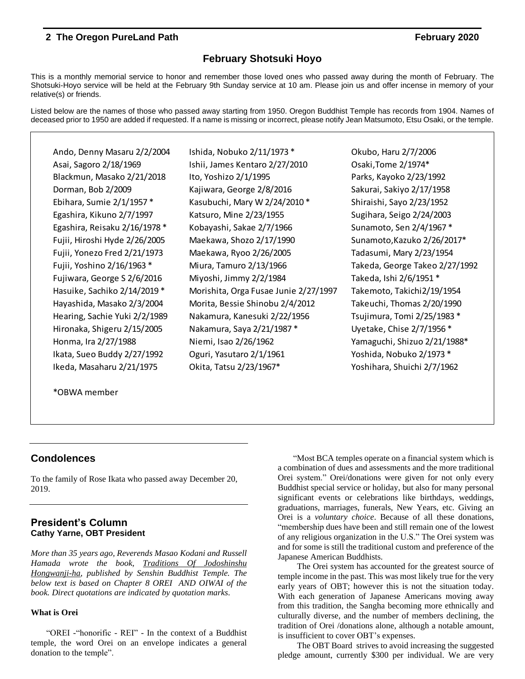#### **February Shotsuki Hoyo**

This is a monthly memorial service to honor and remember those loved ones who passed away during the month of February. The Shotsuki-Hoyo service will be held at the February 9th Sunday service at 10 am. Please join us and offer incense in memory of your relative(s) or friends.

Listed below are the names of those who passed away starting from 1950. Oregon Buddhist Temple has records from 1904. Names of deceased prior to 1950 are added if requested. If a name is missing or incorrect, please notify Jean Matsumoto, Etsu Osaki, or the temple.

Ando, Denny Masaru 2/2/2004 Ishida, Nobuko 2/11/1973 \* Okubo, Haru 2/7/2006 Asai, Sagoro 2/18/1969 Ishii, James Kentaro 2/27/2010 Osaki,Tome 2/1974\* Blackmun, Masako 2/21/2018 lto, Yoshizo 2/1/1995 Parks, Kayoko 2/23/1992 Dorman, Bob 2/2009 Kajiwara, George 2/8/2016 Sakurai, Sakiyo 2/17/1958 Ebihara, Sumie 2/1/1957 \* Kasubuchi, Mary W 2/24/2010 \* Shiraishi, Sayo 2/23/1952 Egashira, Kikuno 2/7/1997 Katsuro, Mine 2/23/1955 Sugihara, Seigo 2/24/2003 Egashira, Reisaku 2/16/1978 \* Kobayashi, Sakae 2/7/1966 Sunamoto, Sen 2/4/1967 \* Fujii, Hiroshi Hyde 2/26/2005 Maekawa, Shozo 2/17/1990 Sunamoto,Kazuko 2/26/2017\* Ikeda, Masaharu 2/21/1975 Okita, Tatsu 2/23/1967\* Yoshihara, Shuichi 2/7/1962

Fujii, Yonezo Fred 2/21/1973 Maekawa, Ryoo 2/26/2005 Tadasumi, Mary 2/23/1954 Fujii, Yoshino 2/16/1963 \* Miura, Tamuro 2/13/1966 Takeda, George Takeo 2/27/1992 Fujiwara, George S 2/6/2016 Miyoshi, Jimmy 2/2/1984 Takeda, Ishi 2/6/1951 \* Hasuike, Sachiko 2/14/2019 \* Morishita, Orga Fusae Junie 2/27/1997 Takemoto, Takichi2/19/1954 Hayashida, Masako 2/3/2004 Morita, Bessie Shinobu 2/4/2012 Takeuchi, Thomas 2/20/1990 Hearing, Sachie Yuki 2/2/1989 Nakamura, Kanesuki 2/22/1956 Tsujimura, Tomi 2/25/1983 \* Hironaka, Shigeru 2/15/2005 Nakamura, Saya 2/21/1987 \* Uyetake, Chise 2/7/1956 \* Honma, Ira 2/27/1988 Niemi, Isao 2/26/1962 Yamaguchi, Shizuo 2/21/1988\* Ikata, Sueo Buddy 2/27/1992 Oguri, Yasutaro 2/1/1961 Yoshida, Nobuko 2/1973 \*

\*OBWA member

### **Condolences**

To the family of Rose Ikata who passed away December 20, 2019.

#### **President's Column Cathy Yarne, OBT President**

*More than 35 years ago, Reverends Masao Kodani and Russell Hamada wrote the book, Traditions Of Jodoshinshu Hongwanji-ha, published by Senshin Buddhist Temple. The below text is based on Chapter 8 OREI AND OIWAI of the book. Direct quotations are indicated by quotation marks*.

#### **What is Orei**

"OREI -"honorific - REI" - In the context of a Buddhist temple, the word Orei on an envelope indicates a general donation to the temple".

"Most BCA temples operate on a financial system which is a combination of dues and assessments and the more traditional Orei system." Orei/donations were given for not only every Buddhist special service or holiday, but also for many personal significant events or celebrations like birthdays, weddings, graduations, marriages, funerals, New Years, etc. Giving an Orei is a *voluntary choice*. Because of all these donations, "membership dues have been and still remain one of the lowest of any religious organization in the U.S." The Orei system was and for some is still the traditional custom and preference of the Japanese American Buddhists.

The Orei system has accounted for the greatest source of temple income in the past. This was most likely true for the very early years of OBT; however this is not the situation today. With each generation of Japanese Americans moving away from this tradition, the Sangha becoming more ethnically and culturally diverse, and the number of members declining, the tradition of Orei /donations alone, although a notable amount, is insufficient to cover OBT's expenses.

The OBT Board strives to avoid increasing the suggested pledge amount, currently \$300 per individual. We are very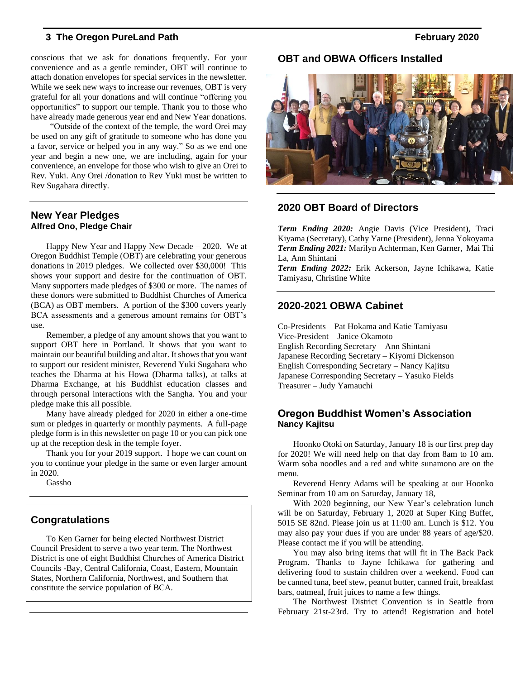conscious that we ask for donations frequently. For your convenience and as a gentle reminder, OBT will continue to attach donation envelopes for special services in the newsletter. While we seek new ways to increase our revenues, OBT is very grateful for all your donations and will continue "offering you opportunities" to support our temple. Thank you to those who have already made generous year end and New Year donations.

"Outside of the context of the temple, the word Orei may be used on any gift of gratitude to someone who has done you a favor, service or helped you in any way." So as we end one year and begin a new one, we are including, again for your convenience, an envelope for those who wish to give an Orei to Rev. Yuki. Any Orei /donation to Rev Yuki must be written to Rev Sugahara directly.

#### **New Year Pledges Alfred Ono, Pledge Chair**

Happy New Year and Happy New Decade – 2020. We at Oregon Buddhist Temple (OBT) are celebrating your generous donations in 2019 pledges. We collected over \$30,000! This shows your support and desire for the continuation of OBT. Many supporters made pledges of \$300 or more. The names of these donors were submitted to Buddhist Churches of America (BCA) as OBT members. A portion of the \$300 covers yearly BCA assessments and a generous amount remains for OBT's use.

Remember, a pledge of any amount shows that you want to support OBT here in Portland. It shows that you want to maintain our beautiful building and altar. It shows that you want to support our resident minister, Reverend Yuki Sugahara who teaches the Dharma at his Howa (Dharma talks), at talks at Dharma Exchange, at his Buddhist education classes and through personal interactions with the Sangha. You and your pledge make this all possible.

Many have already pledged for 2020 in either a one-time sum or pledges in quarterly or monthly payments. A full-page pledge form is in this newsletter on page 10 or you can pick one up at the reception desk in the temple foyer.

Thank you for your 2019 support. I hope we can count on you to continue your pledge in the same or even larger amount in 2020.

Gassho

### **Congratulations**

To Ken Garner for being elected Northwest District Council President to serve a two year term. The Northwest District is one of eight Buddhist Churches of America District Councils -Bay, Central California, Coast, Eastern, Mountain States, Northern California, Northwest, and Southern that constitute the service population of BCA.

### **OBT and OBWA Officers Installed**



### **2020 OBT Board of Directors**

*Term Ending 2020:* Angie Davis (Vice President), Traci Kiyama (Secretary), Cathy Yarne (President), Jenna Yokoyama *Term Ending 2021:* Marilyn Achterman, Ken Garner, Mai Thi La, Ann Shintani

*Term Ending 2022:* Erik Ackerson, Jayne Ichikawa, Katie Tamiyasu, Christine White

#### **2020-2021 OBWA Cabinet**

Co-Presidents – Pat Hokama and Katie Tamiyasu Vice-President – Janice Okamoto English Recording Secretary – Ann Shintani Japanese Recording Secretary – Kiyomi Dickenson English Corresponding Secretary – Nancy Kajitsu Japanese Corresponding Secretary – Yasuko Fields Treasurer – Judy Yamauchi

#### **Oregon Buddhist Women's Association Nancy Kajitsu**

Hoonko Otoki on Saturday, January 18 is our first prep day for 2020! We will need help on that day from 8am to 10 am. Warm soba noodles and a red and white sunamono are on the menu.

Reverend Henry Adams will be speaking at our Hoonko Seminar from 10 am on Saturday, January 18,

With 2020 beginning, our New Year's celebration lunch will be on Saturday, February 1, 2020 at Super King Buffet, 5015 SE 82nd. Please join us at 11:00 am. Lunch is \$12. You may also pay your dues if you are under 88 years of age/\$20. Please contact me if you will be attending.

You may also bring items that will fit in The Back Pack Program. Thanks to Jayne Ichikawa for gathering and delivering food to sustain children over a weekend. Food can be canned tuna, beef stew, peanut butter, canned fruit, breakfast bars, oatmeal, fruit juices to name a few things.

The Northwest District Convention is in Seattle from February 21st-23rd. Try to attend! Registration and hotel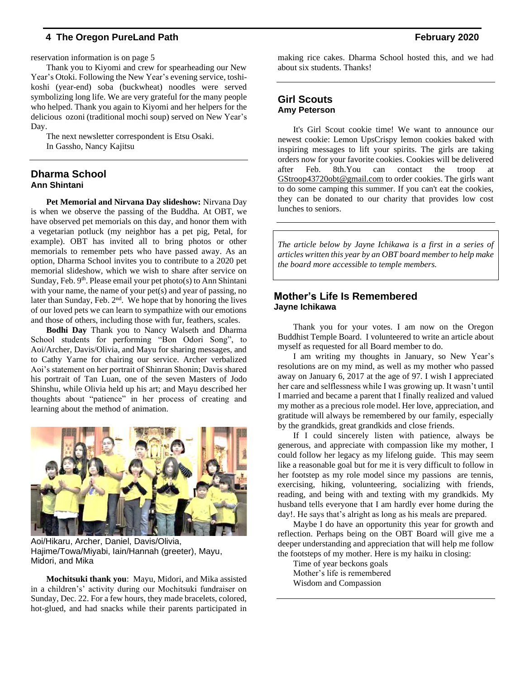reservation information is on page 5

Thank you to Kiyomi and crew for spearheading our New Year's Otoki. Following the New Year's evening service, toshikoshi (year-end) soba (buckwheat) noodles were served symbolizing long life. We are very grateful for the many people who helped. Thank you again to Kiyomi and her helpers for the delicious ozoni (traditional mochi soup) served on New Year's Day.

The next newsletter correspondent is Etsu Osaki. In Gassho, Nancy Kajitsu

#### **Dharma School Ann Shintani**

**Pet Memorial and Nirvana Day slideshow:** Nirvana Day is when we observe the passing of the Buddha. At OBT, we have observed pet memorials on this day, and honor them with a vegetarian potluck (my neighbor has a pet pig, Petal, for example). OBT has invited all to bring photos or other memorials to remember pets who have passed away. As an option, Dharma School invites you to contribute to a 2020 pet memorial slideshow, which we wish to share after service on Sunday, Feb.  $9<sup>th</sup>$ . Please email your pet photo(s) to Ann Shintani with your name, the name of your pet(s) and year of passing, no later than Sunday, Feb.  $2<sup>nd</sup>$ . We hope that by honoring the lives of our loved pets we can learn to sympathize with our emotions and those of others, including those with fur, feathers, scales.

**Bodhi Day** Thank you to Nancy Walseth and Dharma School students for performing "Bon Odori Song", to Aoi/Archer, Davis/Olivia, and Mayu for sharing messages, and to Cathy Yarne for chairing our service. Archer verbalized Aoi's statement on her portrait of Shinran Shonin; Davis shared his portrait of Tan Luan, one of the seven Masters of Jodo Shinshu, while Olivia held up his art; and Mayu described her thoughts about "patience" in her process of creating and learning about the method of animation.



Aoi/Hikaru, Archer, Daniel, Davis/Olivia, Hajime/Towa/Miyabi, Iain/Hannah (greeter), Mayu, Midori, and Mika

**Mochitsuki thank you**: Mayu, Midori, and Mika assisted in a children's' activity during our Mochitsuki fundraiser on Sunday, Dec. 22. For a few hours, they made bracelets, colored, hot-glued, and had snacks while their parents participated in making rice cakes. Dharma School hosted this, and we had about six students. Thanks!

#### **Girl Scouts Amy Peterson**

It's Girl Scout cookie time! We want to announce our newest cookie: Lemon UpsCrispy lemon cookies baked with inspiring messages to lift your spirits. The girls are taking orders now for your favorite cookies. Cookies will be delivered after Feb. 8th.You can contact the troop at [GStroop43720obt@gmail.com](mailto:GStroop43720obt@gmail.com) to order cookies. The girls want to do some camping this summer. If you can't eat the cookies, they can be donated to our charity that provides low cost lunches to seniors.

*The article below by Jayne Ichikawa is a first in a series of articles written this year by an OBT board member to help make the board more accessible to temple members.*

#### **Mother's Life Is Remembered Jayne Ichikawa**

Thank you for your votes. I am now on the Oregon Buddhist Temple Board. I volunteered to write an article about myself as requested for all Board member to do.

I am writing my thoughts in January, so New Year's resolutions are on my mind, as well as my mother who passed away on January 6, 2017 at the age of 97. I wish I appreciated her care and selflessness while I was growing up. It wasn't until I married and became a parent that I finally realized and valued my mother as a precious role model. Her love, appreciation, and gratitude will always be remembered by our family, especially by the grandkids, great grandkids and close friends.

If I could sincerely listen with patience, always be generous, and appreciate with compassion like my mother, I could follow her legacy as my lifelong guide. This may seem like a reasonable goal but for me it is very difficult to follow in her footstep as my role model since my passions are tennis, exercising, hiking, volunteering, socializing with friends, reading, and being with and texting with my grandkids. My husband tells everyone that I am hardly ever home during the day!. He says that's alright as long as his meals are prepared.

Maybe I do have an opportunity this year for growth and reflection. Perhaps being on the OBT Board will give me a deeper understanding and appreciation that will help me follow the footsteps of my mother. Here is my haiku in closing:

Time of year beckons goals Mother's life is remembered Wisdom and Compassion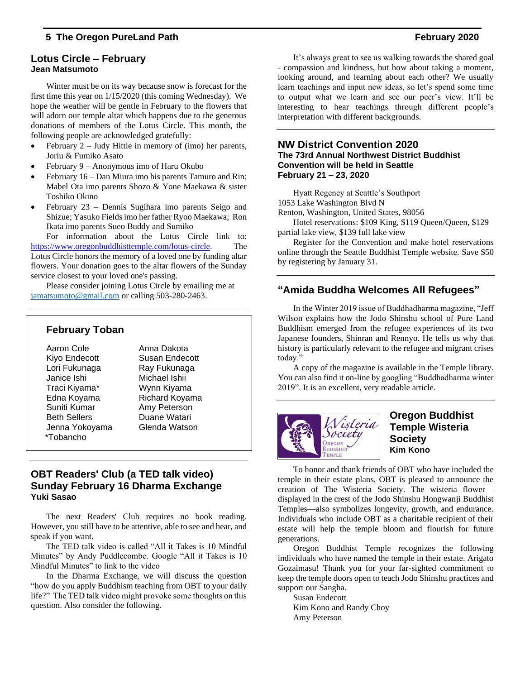#### **Lotus Circle – February Jean Matsumoto**

Winter must be on its way because snow is forecast for the first time this year on 1/15/2020 (this coming Wednesday). We hope the weather will be gentle in February to the flowers that will adorn our temple altar which happens due to the generous donations of members of the Lotus Circle. This month, the following people are acknowledged gratefully:

- February  $2 -$  Judy Hittle in memory of (imo) her parents, Joriu & Fumiko Asato
- February 9 Anonymous imo of Haru Okubo
- February 16 Dan Miura imo his parents Tamuro and Rin; Mabel Ota imo parents Shozo & Yone Maekawa & sister Toshiko Okino
- February 23 Dennis Sugihara imo parents Seigo and Shizue; Yasuko Fields imo her father Ryoo Maekawa; Ron Ikata imo parents Sueo Buddy and Sumiko

For information about the Lotus Circle link to: [https://www.oregonbuddhisttemple.com/lotus-circle.](https://www.oregonbuddhisttemple.com/lotus-circle) The Lotus Circle honors the memory of a loved one by funding altar flowers. Your donation goes to the altar flowers of the Sunday service closest to your loved one's passing.

Please consider joining Lotus Circle by emailing me at [jamatsumoto@gmail.com](mailto:jamatsumoto@gmail.com?subject=Lotus%20Circle) or calling 503-280-2463.

### **February Toban**

Aaron Cole **Anna Dakota** Kiyo Endecott Susan Endecott Lori Fukunaga Ray Fukunaga Janice Ishi Michael Ishii Traci Kiyama\* Wynn Kiyama Edna Koyama Richard Koyama Suniti Kumar Amy Peterson Beth Sellers **Duane Watari** Jenna Yokoyama Glenda Watson \*Tobancho

### **OBT Readers' Club (a TED talk video) Sunday February 16 Dharma Exchange Yuki Sasao**

The next Readers' Club requires no book reading. However, you still have to be attentive, able to see and hear, and speak if you want.

The TED talk video is called "All it Takes is 10 Mindful Minutes" by Andy Puddlecombe. Google "All it Takes is 10 Mindful Minutes" to link to the video

In the Dharma Exchange, we will discuss the question "how do you apply Buddhism teaching from OBT to your daily life?" The TED talk video might provoke some thoughts on this question. Also consider the following.

It's always great to see us walking towards the shared goal - compassion and kindness, but how about taking a moment, looking around, and learning about each other? We usually learn teachings and input new ideas, so let's spend some time to output what we learn and see our peer's view. It'll be interesting to hear teachings through different people's interpretation with different backgrounds.

#### **NW District Convention 2020 The 73rd Annual Northwest District Buddhist Convention will be held in Seattle February 21 – 23, 2020**

[Hyatt Regency at Seattle's Southport](https://www.google.com/maps/place/1053+Lake+Washington+Blvd+N,+Renton,+WA+98056/@47.5030703,-122.2050661,17z/data=!3m1!4b1!4m5!3m4!1s0x5490683da9fbf47b:0x4d41eaebe8218a17!8m2!3d47.5030703!4d-122.2050661)

[1053 Lake Washington Blvd N](https://www.google.com/maps/place/1053+Lake+Washington+Blvd+N,+Renton,+WA+98056/@47.5030703,-122.2050661,17z/data=!3m1!4b1!4m5!3m4!1s0x5490683da9fbf47b:0x4d41eaebe8218a17!8m2!3d47.5030703!4d-122.2050661)

[Renton, Washington, United States, 98056](https://www.google.com/maps/place/1053+Lake+Washington+Blvd+N,+Renton,+WA+98056/@47.5030703,-122.2050661,17z/data=!3m1!4b1!4m5!3m4!1s0x5490683da9fbf47b:0x4d41eaebe8218a17!8m2!3d47.5030703!4d-122.2050661)

[Hotel reservations: \\$109 King, \\$119 Queen/Queen, \\$129](https://www.hyatt.com/en-US/group-booking/SEARL/G-SEBU/)  [partial lake view, \\$139 full lake view](https://www.hyatt.com/en-US/group-booking/SEARL/G-SEBU/)

Register for the Convention and make hotel reservations online through the Seattle Buddhist Temple website. Save \$50 by registering by January 31.

### **"Amida Buddha Welcomes All Refugees"**

In the Winter 2019 issue of Buddhadharma magazine, "Jeff Wilson explains how the Jodo Shinshu school of Pure Land Buddhism emerged from the refugee experiences of its two Japanese founders, Shinran and Rennyo. He tells us why that history is particularly relevant to the refugee and migrant crises today."

A copy of the magazine is available in the Temple library. You can also find it on-line by googling "Buddhadharma winter 2019". It is an excellent, very readable article.



### **Oregon Buddhist Temple Wisteria Society Kim Kono**

To honor and thank friends of OBT who have included the temple in their estate plans, OBT is pleased to announce the creation of The Wisteria Society. The wisteria flower displayed in the crest of the Jodo Shinshu Hongwanji Buddhist Temples—also symbolizes longevity, growth, and endurance. Individuals who include OBT as a charitable recipient of their estate will help the temple bloom and flourish for future generations.

Oregon Buddhist Temple recognizes the following individuals who have named the temple in their estate. Arigato Gozaimasu! Thank you for your far-sighted commitment to keep the temple doors open to teach Jodo Shinshu practices and support our Sangha.

Susan Endecott Kim Kono and Randy Choy Amy Peterson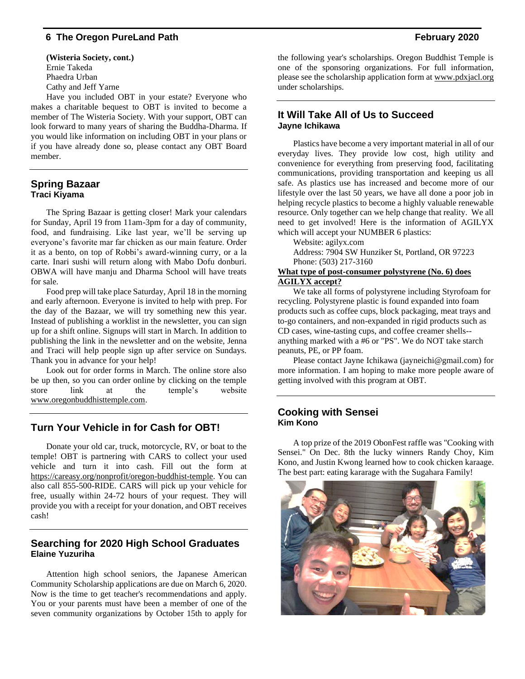**(Wisteria Society, cont.)** Ernie Takeda Phaedra Urban Cathy and Jeff Yarne Have you included OBT in your estate? Everyone who

makes a charitable bequest to OBT is invited to become a member of The Wisteria Society. With your support, OBT can look forward to many years of sharing the Buddha-Dharma. If you would like information on including OBT in your plans or if you have already done so, please contact any OBT Board member.

#### **Spring Bazaar Traci Kiyama**

The Spring Bazaar is getting closer! Mark your calendars for Sunday, April 19 from 11am-3pm for a day of community, food, and fundraising. Like last year, we'll be serving up everyone's favorite mar far chicken as our main feature. Order it as a bento, on top of Robbi's award-winning curry, or a la carte. Inari sushi will return along with Mabo Dofu donburi. OBWA will have manju and Dharma School will have treats for sale.

Food prep will take place Saturday, April 18 in the morning and early afternoon. Everyone is invited to help with prep. For the day of the Bazaar, we will try something new this year. Instead of publishing a worklist in the newsletter, you can sign up for a shift online. Signups will start in March. In addition to publishing the link in the newsletter and on the website, Jenna and Traci will help people sign up after service on Sundays. Thank you in advance for your help!

Look out for order forms in March. The online store also be up then, so you can order online by clicking on the temple store link at the temple's website [www.oregonbuddhisttemple.com.](http://www.oregonbuddhisttemple.com/)

### **Turn Your Vehicle in for Cash for OBT!**

Donate your old car, truck, motorcycle, RV, or boat to the temple! OBT is partnering with CARS to collect your used vehicle and turn it into cash. Fill out the form at [https://careasy.org/nonprofit/oregon-buddhist-temple.](https://careasy.org/nonprofit/oregon-buddhist-temple) You can also call 855-500-RIDE. CARS will pick up your vehicle for free, usually within 24-72 hours of your request. They will provide you with a receipt for your donation, and OBT receives cash!

### **Searching for 2020 High School Graduates Elaine Yuzuriha**

Attention high school seniors, the Japanese American Community Scholarship applications are due on March 6, 2020. Now is the time to get teacher's recommendations and apply. You or your parents must have been a member of one of the seven community organizations by October 15th to apply for

the following year's scholarships. Oregon Buddhist Temple is one of the sponsoring organizations. For full information, please see the scholarship application form a[t www.pdxjacl.org](http://www.pdxjacl.org/) under scholarships.

### **It Will Take All of Us to Succeed Jayne Ichikawa**

Plastics have become a very important material in all of our everyday lives. They provide low cost, high utility and convenience for everything from preserving food, facilitating communications, providing transportation and keeping us all safe. As plastics use has increased and become more of our lifestyle over the last 50 years, we have all done a poor job in helping recycle plastics to become a highly valuable renewable resource. Only together can we help change that reality. We all need to get involved! Here is the information of AGILYX which will accept your NUMBER 6 plastics:

Website: [agilyx.com](http://www.agilyx.com/) Address: 7904 SW Hunziker St, Portland, OR 97223 Phone: (503) 217-3160

#### **What type of post-consumer polystyrene (No. 6) does AGILYX accept?**

We take all forms of polystyrene including Styrofoam for recycling. Polystyrene plastic is found expanded into foam products such as coffee cups, block packaging, meat trays and to-go containers, and non-expanded in rigid products such as CD cases, wine-tasting cups, and coffee creamer shells- anything marked with a #6 or "PS". We do NOT take starch peanuts, PE, or PP foam.

Please contact Jayne Ichikawa (jayneichi@gmail.com) for more information. I am hoping to make more people aware of getting involved with this program at OBT.

#### **Cooking with Sensei Kim Kono**

A top prize of the 2019 ObonFest raffle was "Cooking with Sensei." On Dec. 8th the lucky winners Randy Choy, Kim Kono, and Justin Kwong learned how to cook chicken karaage. The best part: eating kararage with the Sugahara Family!

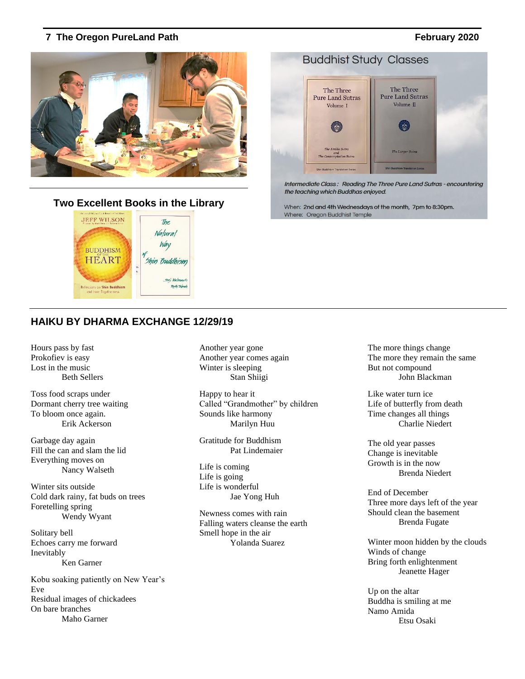### **Two Excellent Books in the Library**



### **HAIKU BY DHARMA EXCHANGE 12/29/19**

Hours pass by fast Prokofiev is easy Lost in the music Beth Sellers

Toss food scraps under Dormant cherry tree waiting To bloom once again. Erik Ackerson

Garbage day again Fill the can and slam the lid Everything moves on Nancy Walseth

Winter sits outside Cold dark rainy, fat buds on trees Foretelling spring Wendy Wyant

Solitary bell Echoes carry me forward Inevitably Ken Garner

Kobu soaking patiently on New Year's Eve Residual images of chickadees On bare branches Maho Garner

Another year gone Another year comes again Winter is sleeping Stan Shiigi

Happy to hear it Called "Grandmother" by children Sounds like harmony Marilyn Huu

Gratitude for Buddhism Pat Lindemaier

Life is coming Life is going Life is wonderful Jae Yong Huh

Newness comes with rain Falling waters cleanse the earth Smell hope in the air Yolanda Suarez

The more things change The more they remain the same But not compound John Blackman

Like water turn ice Life of butterfly from death Time changes all things Charlie Niedert

The old year passes Change is inevitable Growth is in the now Brenda Niedert

End of December Three more days left of the year Should clean the basement Brenda Fugate

Winter moon hidden by the clouds Winds of change Bring forth enlightenment Jeanette Hager

Up on the altar Buddha is smiling at me Namo Amida Etsu Osaki



Intermediate Class: Reading The Three Pure Land Sutras - encountering the teaching which Buddhas enjoyed.

When: 2nd and 4th Wednesdays of the month, 7pm to 8:30pm. Where: Oregon Buddhist Temple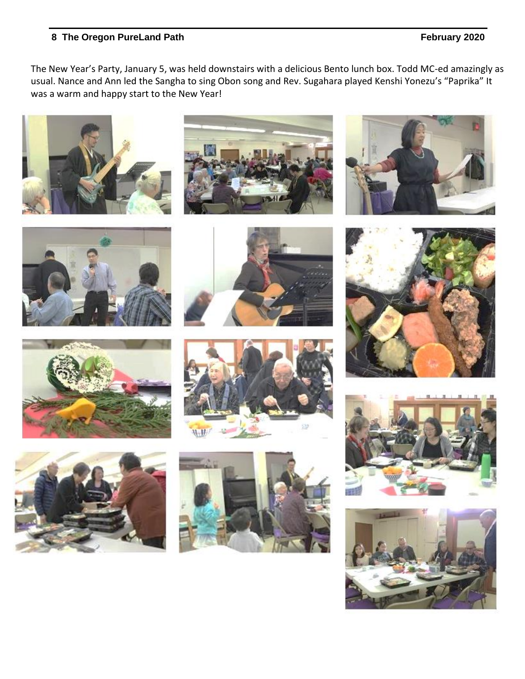The New Year's Party, January 5, was held downstairs with a delicious Bento lunch box. Todd MC-ed amazingly as usual. Nance and Ann led the Sangha to sing Obon song and Rev. Sugahara played Kenshi Yonezu's "Paprika" It was a warm and happy start to the New Year!























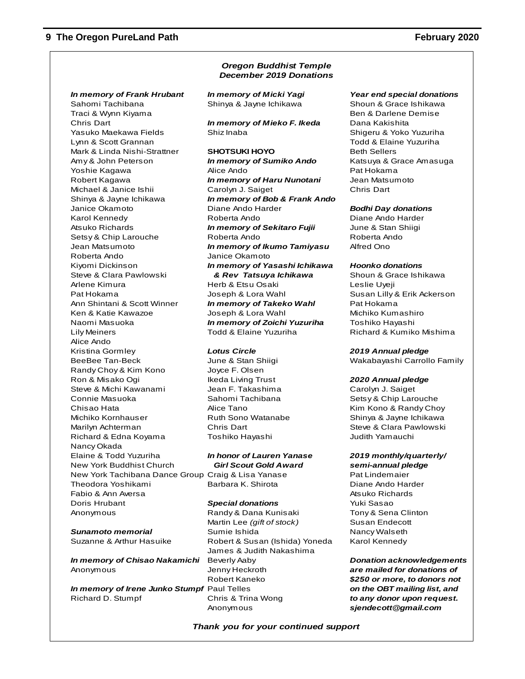*In memory of Frank Hrubant In memory of Micki Yagi Year end special donations* Sahomi Tachibana  $\sim$  Shinya & Jayne Ichikawa Shoun & Grace Ishikawa Traci & Wynn Kiyama Ben & Darlene Demise Chris Dart *In memory of Mieko F. Ikeda* Dana Kakishita Yasuko Maekawa Fields Shiz Inaba Shiz Inaba Shigeru & Yoko Yuzuriha Lynn & Scott Grannan Todd & Elaine Yuzuriha Mark & Linda Nishi-Strattner **SHOTSUKI HOYO** Beth Sellers Amy & John Peterson *In memory of Sumiko Ando* Katsuya & Grace Amasuga Yoshie Kagawa **Alice Ando** Pat Hokama Robert Kagawa *In memory of Haru Nunotani* Jean Matsumoto Michael & Janice Ishii Carolyn J. Saiget Chris Dart Shinya & Jayne Ichikawa *In memory of Bob & Frank Ando* Janice Okamoto Diane Ando Harder *Bodhi Day donations* Karol Kennedy Roberta Ando Diane Ando Harder Atsuko Richards *In memory of Sekitaro Fujii* June & Stan Shiigi Setsy & Chip Larouche Roberta Ando Roberta Ando Jean Matsumoto *In memory of Ikumo Tamiyasu* Alfred Ono Roberta Ando Janice Okamoto Kiyomi Dickinson *In memory of Yasashi Ichikawa Hoonko donations* Steve & Clara Pawlowski *& Rev Tatsuya Ichikawa* Shoun & Grace Ishikawa Arlene Kimura Herb & Etsu Osaki Leslie Uyeji Pat Hokama **Interpretive Susan Lilly & Erik Ackerson** Joseph & Lora Wahl Susan Lilly & Erik Ackerson Ann Shintani & Scott Winner *In memory of Takeko Wahl* Pat Hokama Ken & Katie Kawazoe  $\sim$  Joseph & Lora Wahl Michiko Kumashiro Naomi Masuoka *In memory of Zoichi Yuzuriha* Toshiko Hayashi Lily Meiners **Todd & Elaine Yuzuriha** Richard & Kumiko Mishima Alice Ando Kristina Gormley *Lotus Circle 2019 Annual pledge* BeeBee Tan-Beck June & Stan Shiigi Wakabayashi Carrollo Family Randy Choy & Kim Kono Joyce F. Olsen Ron & Misako Ogi Ikeda Living Trust *2020 Annual pledge* Steve & Michi Kawanami dean F. Takashima Carolyn J. Saiget Connie Masuoka Sahomi Tachibana Setsy & Chip Larouche Chisao Hata **Alice Tano** Alice Tano Kim Kono & Randy Choy Michiko Kornhauser Ruth Sono Watanabe Shinya & Jayne Ichikawa Marilyn Achterman **Chris Dart Chris Communist Chris Communist** Steve & Clara Pawlowski Richard & Edna Koyama Toshiko Hayashi Judith Yamauchi Nancy Okada Elaine & Todd Yuzuriha *In honor of Lauren Yanase 2019 monthly/quarterly/* New York Buddhist Church *Girl Scout Gold Award semi-annual pledge* New York Tachibana Dance Group Craig & Lisa Yanase Pat Lindemaier Theodora Yoshikami Barbara K. Shirota Diane Ando Harder Fabio & Ann Aversa Atsuko Richards Atsuko Richards Atsuko Richards Doris Hrubant *Special donations* Yuki Sasao Anonymous **Randy & Dana Kunisaki** Tony & Sena Clinton

*In memory of Chisao Nakamichi* Beverly Aaby *Donation acknowledgements* Anonymous Jenny Heckroth *are mailed for donations of*

*In memory of Irene Junko Stumpf* Paul Telles *on the OBT mailing list, and* Richard D. Stumpf Chris & Trina Wong *to any donor upon request.*

#### *Oregon Buddhist Temple December 2019 Donations*

Martin Lee (gift of stock) Susan Endecott **Sunamoto memorial** Sumie Ishida **Nancy Walseth** Nancy Walseth Suzanne & Arthur Hasuike Robert & Susan (Ishida) Yoneda Karol Kennedy James & Judith Nakashima Robert Kaneko *\$250 or more, to donors not*

Anonymous *sjendecott@gmail.com*

*Thank you for your continued support*